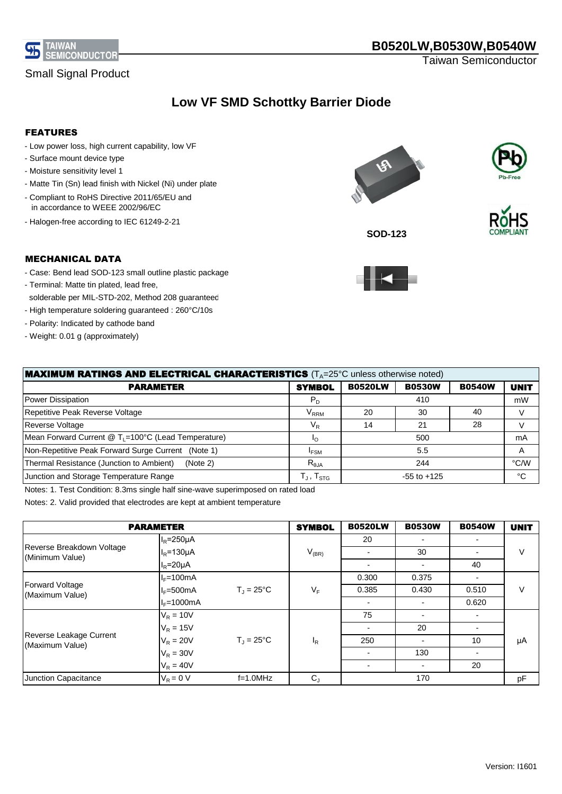

Taiwan Semiconductor

## **Low VF SMD Schottky Barrier Diode**

#### FEATURES

- Low power loss, high current capability, low VF
- Surface mount device type
- Moisture sensitivity level 1
- Matte Tin (Sn) lead finish with Nickel (Ni) under plate
- Compliant to RoHS Directive 2011/65/EU and in accordance to WEEE 2002/96/EC
- Halogen-free according to IEC 61249-2-21







**SOD-123**

### MECHANICAL DATA

- Case: Bend lead SOD-123 small outline plastic package
- Terminal: Matte tin plated, lead free, solderable per MIL-STD-202, Method 208 guaranteed - High temperature soldering guaranteed : 260°C/10s
- Polarity: Indicated by cathode band
- Weight: 0.01 g (approximately)

| <b>MAXIMUM RATINGS AND ELECTRICAL CHARACTERISTICS</b> (T <sub>A</sub> =25°C unless otherwise noted) |                                     |                |                 |               |             |
|-----------------------------------------------------------------------------------------------------|-------------------------------------|----------------|-----------------|---------------|-------------|
| <b>PARAMETER</b>                                                                                    | <b>SYMBOL</b>                       | <b>B0520LW</b> | <b>B0530W</b>   | <b>B0540W</b> | <b>UNIT</b> |
| Power Dissipation                                                                                   | $P_D$                               |                | 410             |               | mW          |
| Repetitive Peak Reverse Voltage                                                                     | $\rm V_{RRM}$                       | 20             | 30              | 40            |             |
| Reverse Voltage                                                                                     | $\mathsf{V}_\mathsf{R}$             | 14             | 21              | 28            |             |
| Mean Forward Current @ T <sub>L</sub> =100°C (Lead Temperature)                                     | י∩                                  |                | 500             |               | mA          |
| Non-Repetitive Peak Forward Surge Current (Note 1)                                                  | <b>IFSM</b>                         | 5.5            |                 | A             |             |
| Thermal Resistance (Junction to Ambient)<br>(Note 2)                                                | $R_{0,IA}$                          |                | 244             |               | °C/W        |
| Junction and Storage Temperature Range                                                              | $\perp$ , $\mathsf{T}_{\text{STG}}$ |                | $-55$ to $+125$ |               | ℃           |

Notes: 1. Test Condition: 8.3ms single half sine-wave superimposed on rated load

Notes: 2. Valid provided that electrodes are kept at ambient temperature

|                                              | <b>PARAMETER</b>  |                     | <b>SYMBOL</b> | <b>B0520LW</b>           | <b>B0530W</b>            | <b>B0540W</b> | <b>UNIT</b> |
|----------------------------------------------|-------------------|---------------------|---------------|--------------------------|--------------------------|---------------|-------------|
|                                              | $I_R = 250 \mu A$ |                     |               | 20                       |                          |               |             |
| Reverse Breakdown Voltage<br>(Minimum Value) | $I_R = 130 \mu A$ |                     | $V_{(BR)}$    |                          | 30                       |               | ν           |
|                                              | $I_R = 20 \mu A$  |                     |               |                          | $\blacksquare$           | 40            |             |
|                                              | $I_F=100mA$       |                     |               | 0.300                    | 0.375                    |               | V           |
| <b>Forward Voltage</b><br>(Maximum Value)    | $I = 500mA$       | $T_1 = 25^{\circ}C$ | $V_F$         | 0.385                    | 0.430                    | 0.510         |             |
|                                              | $I_F=1000mA$      |                     |               | $\overline{\phantom{0}}$ | $\overline{\phantom{0}}$ | 0.620         |             |
|                                              | $V_R = 10V$       |                     |               | 75                       |                          |               |             |
| Reverse Leakage Current<br>(Maximum Value)   | $V_R = 15V$       |                     |               |                          | 20                       |               |             |
|                                              | $V_R = 20V$       | $T_1 = 25^{\circ}C$ | $I_R$         | 250                      |                          | 10            | μA          |
|                                              | $V_R = 30V$       |                     |               |                          | 130                      |               |             |
|                                              | $V_R = 40V$       |                     |               |                          |                          | 20            |             |
| Junction Capacitance                         | $V_R = 0 V$       | $f=1.0$ MHz         | $C_{J}$       |                          | 170                      |               | pF          |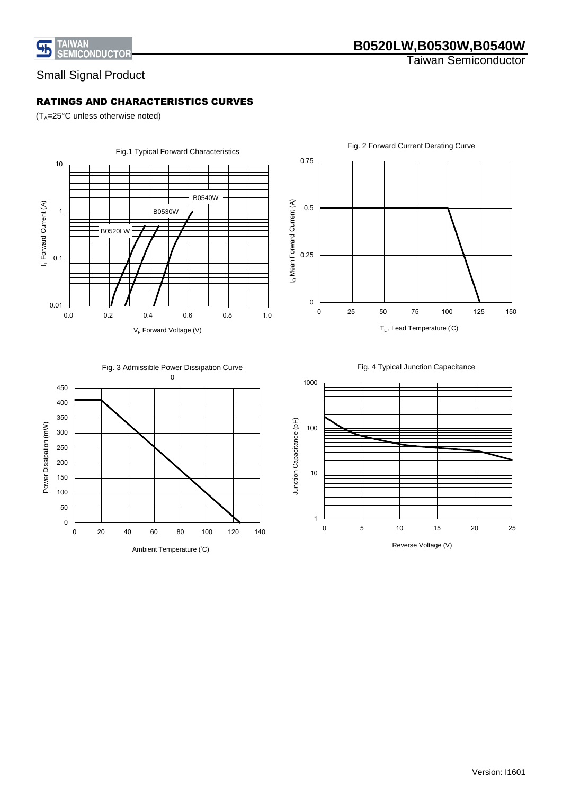

## **B0520LW,B0530W,B0540W**

Taiwan Semiconductor

## Small Signal Product

### RATINGS AND CHARACTERISTICS CURVES

 $(T_A=25^{\circ}C$  unless otherwise noted)









Fig. 4 Typical Junction Capacitance



Reverse Voltage (V)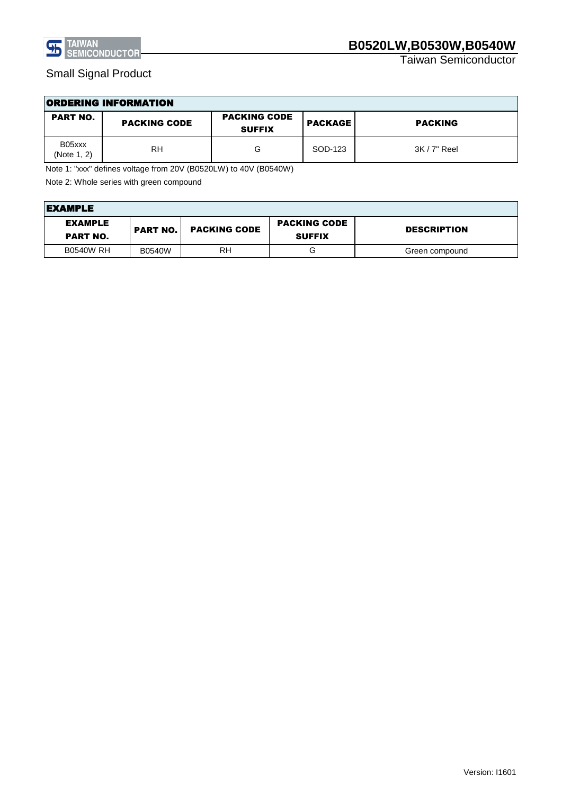

Taiwan Semiconductor

| <b>ORDERING INFORMATION</b> |                     |                                      |                |                |  |
|-----------------------------|---------------------|--------------------------------------|----------------|----------------|--|
| <b>PART NO.</b>             | <b>PACKING CODE</b> | <b>PACKING CODE</b><br><b>SUFFIX</b> | <b>PACKAGE</b> | <b>PACKING</b> |  |
| B05xxx<br>(Note 1, 2)       | <b>RH</b>           | G                                    | SOD-123        | 3K / 7" Reel   |  |

Note 1: "xxx" defines voltage from 20V (B0520LW) to 40V (B0540W)

Note 2: Whole series with green compound

| <b>EXAMPLE</b>                    |                 |                     |                                      |                    |
|-----------------------------------|-----------------|---------------------|--------------------------------------|--------------------|
| <b>EXAMPLE</b><br><b>PART NO.</b> | <b>PART NO.</b> | <b>PACKING CODE</b> | <b>PACKING CODE</b><br><b>SUFFIX</b> | <b>DESCRIPTION</b> |
| <b>B0540W RH</b>                  | <b>B0540W</b>   | RH                  | G                                    | Green compound     |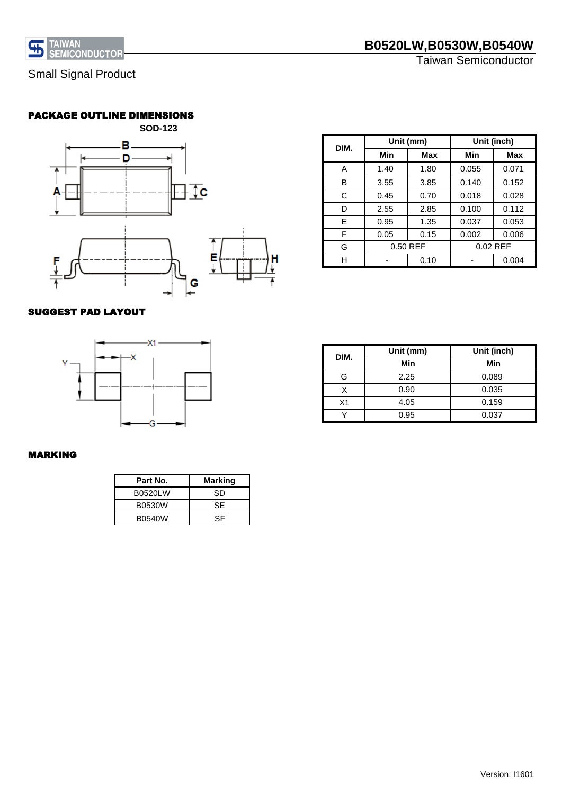

### PACKAGE OUTLINE DIMENSIONS



#### **Min Max Min Max** A 1.40 1.80 0.055 0.071 B 3.55 3.85 0.140 0.152 C 0.45 0.70 0.018 0.028 D 2.55 2.85 0.100 0.112 E 0.95 1.35 0.037 0.053 F 0.05 0.15 0.002 0.006 G H - 0.10 - 0.004 **Unit (mm) DIM.** 0.50 REF **Unit (inch)** 0.02 REF

### SUGGEST PAD LAYOUT



| DIM. | Unit (mm) | Unit (inch) |
|------|-----------|-------------|
|      | Min       | Min         |
| G    | 2.25      | 0.089       |
| Χ    | 0.90      | 0.035       |
| X1   | 4.05      | 0.159       |
|      | 0.95      | 0.037       |

### MARKING

| Part No.      | Marking |
|---------------|---------|
| B0520LW       | SD      |
| B0530W        | SF      |
| <b>B0540W</b> | SF      |